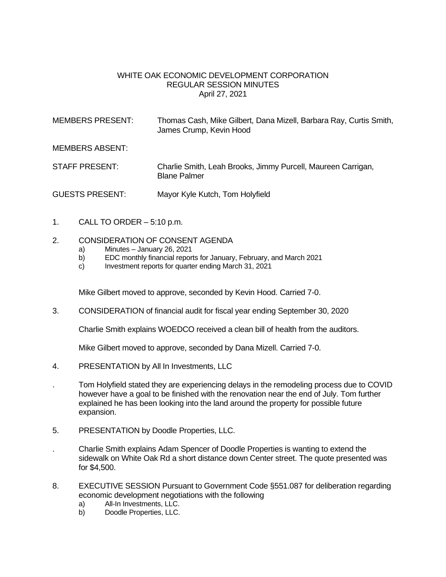## WHITE OAK ECONOMIC DEVELOPMENT CORPORATION REGULAR SESSION MINUTES April 27, 2021

| MEMBERS PRESENT: | Thomas Cash, Mike Gilbert, Dana Mizell, Barbara Ray, Curtis Smith,<br>James Crump, Kevin Hood |
|------------------|-----------------------------------------------------------------------------------------------|
| MEMBERS ABSENT:  |                                                                                               |
| STAFF PRESENT:   | Charlie Smith, Leah Brooks, Jimmy Purcell, Maureen Carrigan,<br><b>Blane Palmer</b>           |

GUESTS PRESENT: Mayor Kyle Kutch, Tom Holyfield

1. CALL TO ORDER  $-5:10$  p.m.

## 2. CONSIDERATION OF CONSENT AGENDA

- a) Minutes January 26, 2021
- b) EDC monthly financial reports for January, February, and March 2021
- c) Investment reports for quarter ending March 31, 2021

Mike Gilbert moved to approve, seconded by Kevin Hood. Carried 7-0.

3. CONSIDERATION of financial audit for fiscal year ending September 30, 2020

Charlie Smith explains WOEDCO received a clean bill of health from the auditors.

Mike Gilbert moved to approve, seconded by Dana Mizell. Carried 7-0.

- 4. PRESENTATION by All In Investments, LLC
- . Tom Holyfield stated they are experiencing delays in the remodeling process due to COVID however have a goal to be finished with the renovation near the end of July. Tom further explained he has been looking into the land around the property for possible future expansion.
- 5. PRESENTATION by Doodle Properties, LLC.
- . Charlie Smith explains Adam Spencer of Doodle Properties is wanting to extend the sidewalk on White Oak Rd a short distance down Center street. The quote presented was for \$4,500.
- 8. EXECUTIVE SESSION Pursuant to Government Code §551.087 for deliberation regarding economic development negotiations with the following
	- a) All-In Investments, LLC.
	- b) Doodle Properties, LLC.